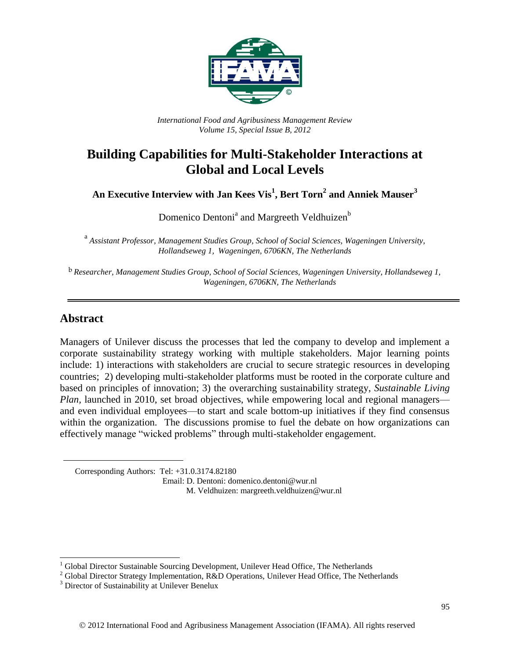

*International Food and Agribusiness Management Review Volume 15, Special Issue B, 2012*

# **Building Capabilities for Multi-Stakeholder Interactions at Global and Local Levels**

**An Executive Interview with Jan Kees Vis<sup>1</sup> , Bert Torn<sup>2</sup> and Anniek Mauser<sup>3</sup>**

Domenico Dentoni<sup>a</sup> and Margreeth Veldhuizen<sup>b</sup>

<sup>a</sup> Assistant Professor, Management Studies Group, School of Social Sciences, Wageningen University, *Hollandseweg 1, Wageningen, 6706KN, The Netherlands*

b *Researcher, Management Studies Group, School of Social Sciences, Wageningen University, Hollandseweg 1, Wageningen, 6706KN, The Netherlands*

# **Abstract**

 $\overline{a}$ 

Managers of Unilever discuss the processes that led the company to develop and implement a corporate sustainability strategy working with multiple stakeholders. Major learning points include: 1) interactions with stakeholders are crucial to secure strategic resources in developing countries; 2) developing multi-stakeholder platforms must be rooted in the corporate culture and based on principles of innovation; 3) the overarching sustainability strategy, *Sustainable Living Plan,* launched in 2010, set broad objectives, while empowering local and regional managers and even individual employees—to start and scale bottom-up initiatives if they find consensus within the organization. The discussions promise to fuel the debate on how organizations can effectively manage "wicked problems" through multi-stakeholder engagement.

Corresponding Authors: Tel: +31.0.3174.82180

 Email: D. Dentoni: domenico.dentoni@wur.nl M. Veldhuizen: margreeth.veldhuizen@wur.nl

 $1$  Global Director Sustainable Sourcing Development, Unilever Head Office, The Netherlands

<sup>&</sup>lt;sup>2</sup> Global Director Strategy Implementation, R&D Operations, Unilever Head Office, The Netherlands

<sup>&</sup>lt;sup>3</sup> Director of Sustainability at Unilever Benelux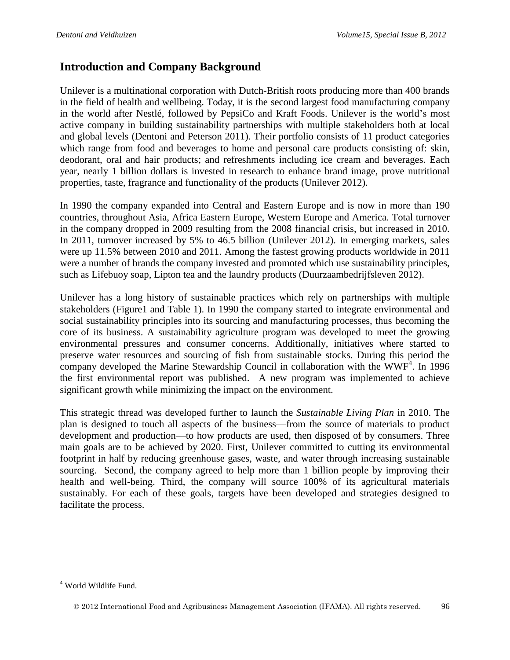# **Introduction and Company Background**

Unilever is a multinational corporation with Dutch-British roots producing more than 400 brands in the field of health and wellbeing. Today, it is the second largest food manufacturing company in the world after Nestlé, followed by PepsiCo and Kraft Foods. Unilever is the world's most active company in building sustainability partnerships with multiple stakeholders both at local and global levels (Dentoni and Peterson 2011). Their portfolio consists of 11 product categories which range from food and beverages to home and personal care products consisting of: skin, deodorant, oral and hair products; and refreshments including ice cream and beverages. Each year, nearly 1 billion dollars is invested in research to enhance brand image, prove nutritional properties, taste, fragrance and functionality of the products (Unilever 2012).

In 1990 the company expanded into Central and Eastern Europe and is now in more than 190 countries, throughout Asia, Africa Eastern Europe, Western Europe and America. Total turnover in the company dropped in 2009 resulting from the 2008 financial crisis, but increased in 2010. In 2011, turnover increased by 5% to 46.5 billion (Unilever 2012). In emerging markets, sales were up 11.5% between 2010 and 2011. Among the fastest growing products worldwide in 2011 were a number of brands the company invested and promoted which use sustainability principles, such as Lifebuoy soap, Lipton tea and the laundry products (Duurzaambedrijfsleven 2012).

Unilever has a long history of sustainable practices which rely on partnerships with multiple stakeholders (Figure1 and Table 1). In 1990 the company started to integrate environmental and social sustainability principles into its sourcing and manufacturing processes, thus becoming the core of its business. A sustainability agriculture program was developed to meet the growing environmental pressures and consumer concerns. Additionally, initiatives where started to preserve water resources and sourcing of fish from sustainable stocks. During this period the company developed the Marine Stewardship Council in collaboration with the  $WWF<sup>4</sup>$ . In 1996 the first environmental report was published. A new program was implemented to achieve significant growth while minimizing the impact on the environment.

This strategic thread was developed further to launch the *Sustainable Living Plan* in 2010. The plan is designed to touch all aspects of the business—from the source of materials to product development and production—to how products are used, then disposed of by consumers. Three main goals are to be achieved by 2020. First, Unilever committed to cutting its environmental footprint in half by reducing greenhouse gases, waste, and water through increasing sustainable sourcing. Second, the company agreed to help more than 1 billion people by improving their health and well-being. Third, the company will source 100% of its agricultural materials sustainably. For each of these goals, targets have been developed and strategies designed to facilitate the process.

 $\overline{a}$ <sup>4</sup> World Wildlife Fund.

2012 International Food and Agribusiness Management Association (IFAMA). All rights reserved. 96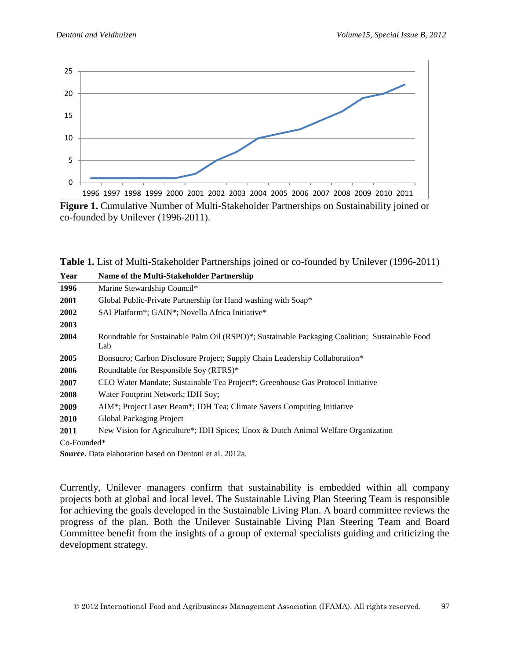

**Figure 1.** Cumulative Number of Multi-Stakeholder Partnerships on Sustainability joined or co-founded by Unilever (1996-2011).

Table 1. List of Multi-Stakeholder Partnerships joined or co-founded by Unilever (1996-2011)

| Year        | Name of the Multi-Stakeholder Partnership                                                             |
|-------------|-------------------------------------------------------------------------------------------------------|
| 1996        | Marine Stewardship Council*                                                                           |
| 2001        | Global Public-Private Partnership for Hand washing with Soap*                                         |
| 2002        | SAI Platform*; GAIN*; Novella Africa Initiative*                                                      |
| 2003        |                                                                                                       |
| 2004        | Roundtable for Sustainable Palm Oil (RSPO)*; Sustainable Packaging Coalition; Sustainable Food<br>Lab |
| 2005        | Bonsucro; Carbon Disclosure Project; Supply Chain Leadership Collaboration*                           |
| 2006        | Roundtable for Responsible Soy (RTRS)*                                                                |
| 2007        | CEO Water Mandate; Sustainable Tea Project*; Greenhouse Gas Protocol Initiative                       |
| 2008        | Water Footprint Network; IDH Soy;                                                                     |
| 2009        | AIM*; Project Laser Beam*; IDH Tea; Climate Savers Computing Initiative                               |
| <b>2010</b> | Global Packaging Project                                                                              |
| 2011        | New Vision for Agriculture*; IDH Spices; Unox & Dutch Animal Welfare Organization                     |
| Co-Founded* |                                                                                                       |

**Source.** Data elaboration based on Dentoni et al. 2012a.

Currently, Unilever managers confirm that sustainability is embedded within all company projects both at global and local level. The Sustainable Living Plan Steering Team is responsible for achieving the goals developed in the Sustainable Living Plan. A board committee reviews the progress of the plan. Both the Unilever Sustainable Living Plan Steering Team and Board Committee benefit from the insights of a group of external specialists guiding and criticizing the development strategy.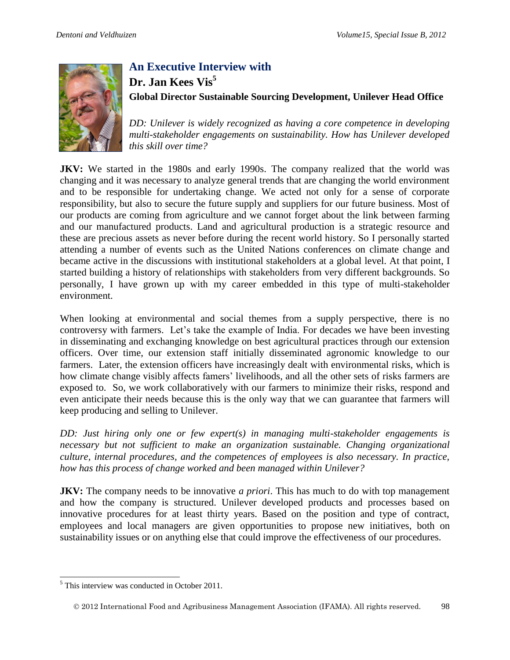

# **An Executive Interview with Dr. Jan Kees Vis<sup>5</sup> Global Director Sustainable Sourcing Development, Unilever Head Office**

*DD: Unilever is widely recognized as having a core competence in developing multi-stakeholder engagements on sustainability. How has Unilever developed this skill over time?* 

**JKV:** We started in the 1980s and early 1990s. The company realized that the world was changing and it was necessary to analyze general trends that are changing the world environment and to be responsible for undertaking change. We acted not only for a sense of corporate responsibility, but also to secure the future supply and suppliers for our future business. Most of our products are coming from agriculture and we cannot forget about the link between farming and our manufactured products. Land and agricultural production is a strategic resource and these are precious assets as never before during the recent world history. So I personally started attending a number of events such as the United Nations conferences on climate change and became active in the discussions with institutional stakeholders at a global level. At that point, I started building a history of relationships with stakeholders from very different backgrounds. So personally, I have grown up with my career embedded in this type of multi-stakeholder environment.

When looking at environmental and social themes from a supply perspective, there is no controversy with farmers. Let's take the example of India. For decades we have been investing in disseminating and exchanging knowledge on best agricultural practices through our extension officers. Over time, our extension staff initially disseminated agronomic knowledge to our farmers. Later, the extension officers have increasingly dealt with environmental risks, which is how climate change visibly affects famers' livelihoods, and all the other sets of risks farmers are exposed to. So, we work collaboratively with our farmers to minimize their risks, respond and even anticipate their needs because this is the only way that we can guarantee that farmers will keep producing and selling to Unilever.

*DD: Just hiring only one or few expert(s) in managing multi-stakeholder engagements is necessary but not sufficient to make an organization sustainable. Changing organizational culture, internal procedures, and the competences of employees is also necessary. In practice, how has this process of change worked and been managed within Unilever?* 

**JKV:** The company needs to be innovative *a priori*. This has much to do with top management and how the company is structured. Unilever developed products and processes based on innovative procedures for at least thirty years. Based on the position and type of contract, employees and local managers are given opportunities to propose new initiatives, both on sustainability issues or on anything else that could improve the effectiveness of our procedures.

<sup>&</sup>lt;sup>5</sup> This interview was conducted in October 2011.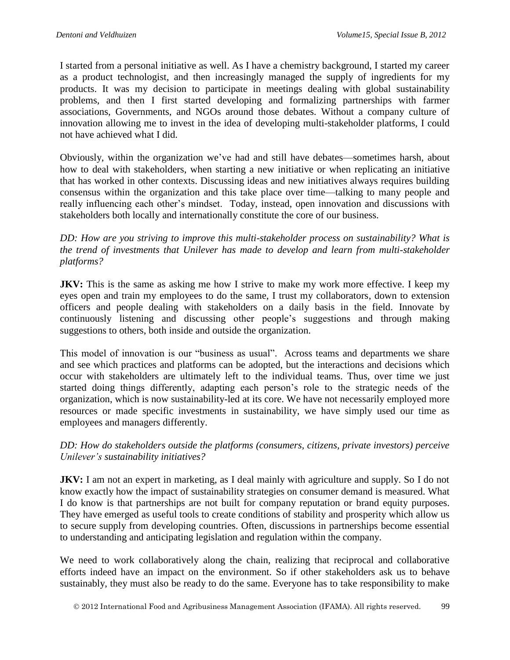I started from a personal initiative as well. As I have a chemistry background, I started my career as a product technologist, and then increasingly managed the supply of ingredients for my products. It was my decision to participate in meetings dealing with global sustainability problems, and then I first started developing and formalizing partnerships with farmer associations, Governments, and NGOs around those debates. Without a company culture of innovation allowing me to invest in the idea of developing multi-stakeholder platforms, I could not have achieved what I did.

Obviously, within the organization we've had and still have debates—sometimes harsh, about how to deal with stakeholders, when starting a new initiative or when replicating an initiative that has worked in other contexts. Discussing ideas and new initiatives always requires building consensus within the organization and this take place over time—talking to many people and really influencing each other's mindset. Today, instead, open innovation and discussions with stakeholders both locally and internationally constitute the core of our business.

*DD: How are you striving to improve this multi-stakeholder process on sustainability? What is the trend of investments that Unilever has made to develop and learn from multi-stakeholder platforms?*

**JKV:** This is the same as asking me how I strive to make my work more effective. I keep my eyes open and train my employees to do the same, I trust my collaborators, down to extension officers and people dealing with stakeholders on a daily basis in the field. Innovate by continuously listening and discussing other people's suggestions and through making suggestions to others, both inside and outside the organization.

This model of innovation is our "business as usual". Across teams and departments we share and see which practices and platforms can be adopted, but the interactions and decisions which occur with stakeholders are ultimately left to the individual teams. Thus, over time we just started doing things differently, adapting each person's role to the strategic needs of the organization, which is now sustainability-led at its core. We have not necessarily employed more resources or made specific investments in sustainability, we have simply used our time as employees and managers differently.

#### *DD: How do stakeholders outside the platforms (consumers, citizens, private investors) perceive Unilever's sustainability initiatives?*

**JKV:** I am not an expert in marketing, as I deal mainly with agriculture and supply. So I do not know exactly how the impact of sustainability strategies on consumer demand is measured. What I do know is that partnerships are not built for company reputation or brand equity purposes. They have emerged as useful tools to create conditions of stability and prosperity which allow us to secure supply from developing countries. Often, discussions in partnerships become essential to understanding and anticipating legislation and regulation within the company.

We need to work collaboratively along the chain, realizing that reciprocal and collaborative efforts indeed have an impact on the environment. So if other stakeholders ask us to behave sustainably, they must also be ready to do the same. Everyone has to take responsibility to make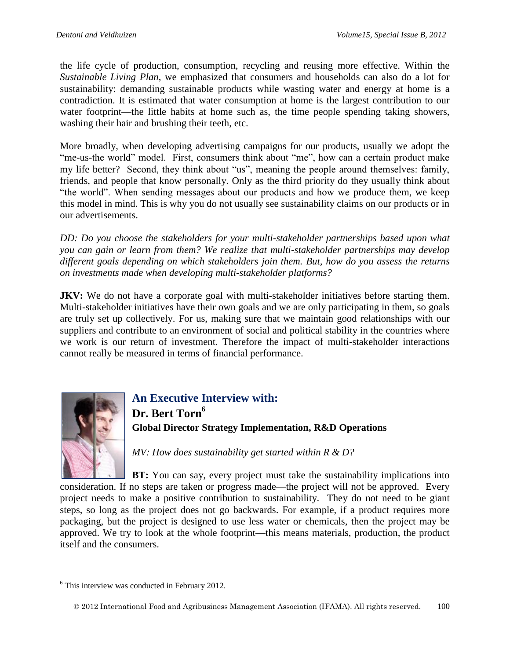the life cycle of production, consumption, recycling and reusing more effective. Within the *Sustainable Living Plan*, we emphasized that consumers and households can also do a lot for sustainability: demanding sustainable products while wasting water and energy at home is a contradiction. It is estimated that water consumption at home is the largest contribution to our water footprint—the little habits at home such as, the time people spending taking showers, washing their hair and brushing their teeth, etc.

More broadly, when developing advertising campaigns for our products, usually we adopt the "me-us-the world" model. First, consumers think about "me", how can a certain product make my life better? Second, they think about "us", meaning the people around themselves: family, friends, and people that know personally. Only as the third priority do they usually think about "the world". When sending messages about our products and how we produce them, we keep this model in mind. This is why you do not usually see sustainability claims on our products or in our advertisements.

*DD: Do you choose the stakeholders for your multi-stakeholder partnerships based upon what you can gain or learn from them? We realize that multi-stakeholder partnerships may develop different goals depending on which stakeholders join them. But, how do you assess the returns on investments made when developing multi-stakeholder platforms?* 

**JKV:** We do not have a corporate goal with multi-stakeholder initiatives before starting them. Multi-stakeholder initiatives have their own goals and we are only participating in them, so goals are truly set up collectively. For us, making sure that we maintain good relationships with our suppliers and contribute to an environment of social and political stability in the countries where we work is our return of investment. Therefore the impact of multi-stakeholder interactions cannot really be measured in terms of financial performance.



**An Executive Interview with: Dr. Bert Torn<sup>6</sup> Global Director Strategy Implementation, R&D Operations**

*MV: How does sustainability get started within R & D?*

**BT:** You can say, every project must take the sustainability implications into consideration. If no steps are taken or progress made—the project will not be approved. Every project needs to make a positive contribution to sustainability. They do not need to be giant steps, so long as the project does not go backwards. For example, if a product requires more packaging, but the project is designed to use less water or chemicals, then the project may be approved. We try to look at the whole footprint—this means materials, production, the product itself and the consumers.

 6 This interview was conducted in February 2012.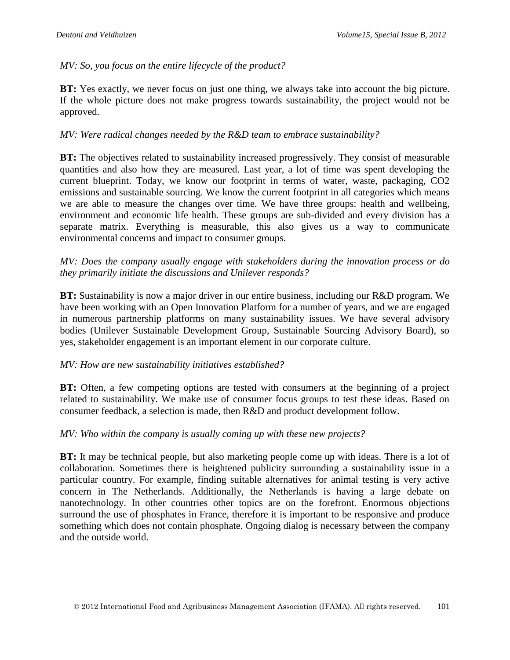#### *MV: So, you focus on the entire lifecycle of the product?*

**BT:** Yes exactly, we never focus on just one thing, we always take into account the big picture. If the whole picture does not make progress towards sustainability, the project would not be approved.

#### *MV: Were radical changes needed by the R&D team to embrace sustainability?*

**BT:** The objectives related to sustainability increased progressively. They consist of measurable quantities and also how they are measured. Last year, a lot of time was spent developing the current blueprint. Today, we know our footprint in terms of water, waste, packaging, CO2 emissions and sustainable sourcing. We know the current footprint in all categories which means we are able to measure the changes over time. We have three groups: health and wellbeing, environment and economic life health. These groups are sub-divided and every division has a separate matrix. Everything is measurable, this also gives us a way to communicate environmental concerns and impact to consumer groups.

#### *MV: Does the company usually engage with stakeholders during the innovation process or do they primarily initiate the discussions and Unilever responds?*

**BT:** Sustainability is now a major driver in our entire business, including our R&D program. We have been working with an Open Innovation Platform for a number of years, and we are engaged in numerous partnership platforms on many sustainability issues. We have several advisory bodies (Unilever Sustainable Development Group, Sustainable Sourcing Advisory Board), so yes, stakeholder engagement is an important element in our corporate culture.

#### *MV: How are new sustainability initiatives established?*

**BT:** Often, a few competing options are tested with consumers at the beginning of a project related to sustainability. We make use of consumer focus groups to test these ideas. Based on consumer feedback, a selection is made, then R&D and product development follow.

#### *MV: Who within the company is usually coming up with these new projects?*

**BT:** It may be technical people, but also marketing people come up with ideas. There is a lot of collaboration. Sometimes there is heightened publicity surrounding a sustainability issue in a particular country. For example, finding suitable alternatives for animal testing is very active concern in The Netherlands. Additionally, the Netherlands is having a large debate on nanotechnology. In other countries other topics are on the forefront. Enormous objections surround the use of phosphates in France, therefore it is important to be responsive and produce something which does not contain phosphate. Ongoing dialog is necessary between the company and the outside world.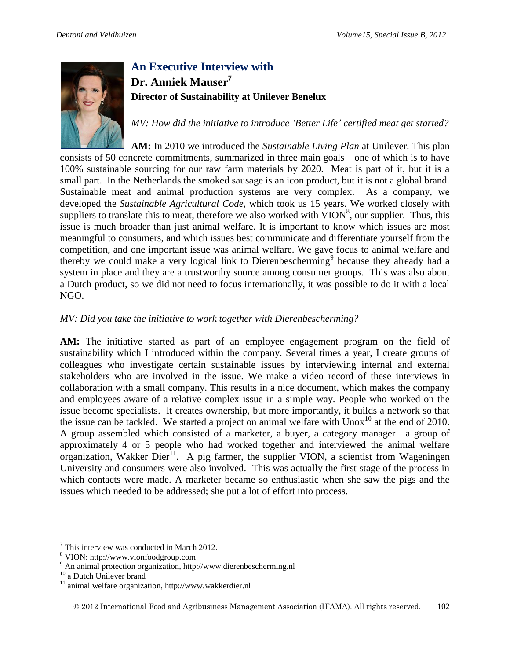

# **An Executive Interview with Dr. Anniek Mauser<sup>7</sup> Director of Sustainability at Unilever Benelux**

*MV: How did the initiative to introduce 'Better Life' certified meat get started?* 

**AM:** In 2010 we introduced the *Sustainable Living Plan* at Unilever. This plan consists of 50 concrete commitments, summarized in three main goals—one of which is to have 100% sustainable sourcing for our raw farm materials by 2020. Meat is part of it, but it is a small part. In the Netherlands the smoked sausage is an icon product, but it is not a global brand. Sustainable meat and animal production systems are very complex. As a company, we developed the *Sustainable Agricultural Code*, which took us 15 years. We worked closely with suppliers to translate this to meat, therefore we also worked with  $VION^8$ , our supplier. Thus, this issue is much broader than just animal welfare. It is important to know which issues are most meaningful to consumers, and which issues best communicate and differentiate yourself from the competition, and one important issue was animal welfare. We gave focus to animal welfare and thereby we could make a very logical link to Dierenbescherming<sup>9</sup> because they already had a system in place and they are a trustworthy source among consumer groups. This was also about a Dutch product, so we did not need to focus internationally, it was possible to do it with a local NGO.

## *MV: Did you take the initiative to work together with Dierenbescherming?*

**AM:** The initiative started as part of an employee engagement program on the field of sustainability which I introduced within the company. Several times a year, I create groups of colleagues who investigate certain sustainable issues by interviewing internal and external stakeholders who are involved in the issue. We make a video record of these interviews in collaboration with a small company. This results in a nice document, which makes the company and employees aware of a relative complex issue in a simple way. People who worked on the issue become specialists. It creates ownership, but more importantly, it builds a network so that the issue can be tackled. We started a project on animal welfare with  $U_{\text{nox}}^{10}$  at the end of 2010. A group assembled which consisted of a marketer, a buyer, a category manager—a group of approximately 4 or 5 people who had worked together and interviewed the animal welfare organization, Wakker  $\text{Dier}^{11}$ . A pig farmer, the supplier VION, a scientist from Wageningen University and consumers were also involved. This was actually the first stage of the process in which contacts were made. A marketer became so enthusiastic when she saw the pigs and the issues which needed to be addressed; she put a lot of effort into process.

 $\overline{a}$  $7$  This interview was conducted in March 2012.

<sup>8</sup> VION: http://www.vionfoodgroup.com

<sup>&</sup>lt;sup>9</sup> An animal protection organization, http://www.dierenbescherming.nl

 $^{10}$  a Dutch Unilever brand

<sup>11</sup> animal welfare organization, http://www.wakkerdier.nl

2012 International Food and Agribusiness Management Association (IFAMA). All rights reserved. 102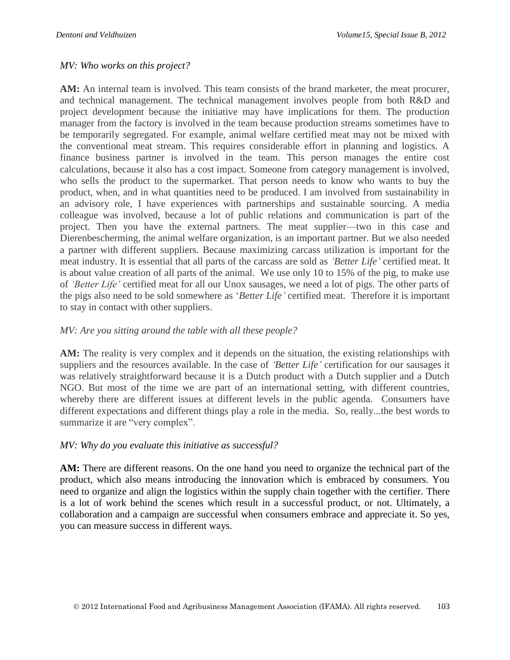#### *MV: Who works on this project?*

**AM:** An internal team is involved. This team consists of the brand marketer, the meat procurer, and technical management. The technical management involves people from both R&D and project development because the initiative may have implications for them. The production manager from the factory is involved in the team because production streams sometimes have to be temporarily segregated. For example, animal welfare certified meat may not be mixed with the conventional meat stream. This requires considerable effort in planning and logistics. A finance business partner is involved in the team. This person manages the entire cost calculations, because it also has a cost impact. Someone from category management is involved, who sells the product to the supermarket. That person needs to know who wants to buy the product, when, and in what quantities need to be produced. I am involved from sustainability in an advisory role, I have experiences with partnerships and sustainable sourcing. A media colleague was involved, because a lot of public relations and communication is part of the project. Then you have the external partners. The meat supplier—two in this case and Dierenbescherming, the animal welfare organization, is an important partner. But we also needed a partner with different suppliers. Because maximizing carcass utilization is important for the meat industry. It is essential that all parts of the carcass are sold as *'Better Life'* certified meat. It is about value creation of all parts of the animal. We use only 10 to 15% of the pig, to make use of *'Better Life'* certified meat for all our Unox sausages, we need a lot of pigs. The other parts of the pigs also need to be sold somewhere as '*Better Life'* certified meat. Therefore it is important to stay in contact with other suppliers.

#### *MV: Are you sitting around the table with all these people?*

AM: The reality is very complex and it depends on the situation, the existing relationships with suppliers and the resources available. In the case of *'Better Life'* certification for our sausages it was relatively straightforward because it is a Dutch product with a Dutch supplier and a Dutch NGO. But most of the time we are part of an international setting, with different countries, whereby there are different issues at different levels in the public agenda. Consumers have different expectations and different things play a role in the media. So, really...the best words to summarize it are "very complex".

#### *MV: Why do you evaluate this initiative as successful?*

**AM:** There are different reasons. On the one hand you need to organize the technical part of the product, which also means introducing the innovation which is embraced by consumers. You need to organize and align the logistics within the supply chain together with the certifier. There is a lot of work behind the scenes which result in a successful product, or not. Ultimately, a collaboration and a campaign are successful when consumers embrace and appreciate it. So yes, you can measure success in different ways.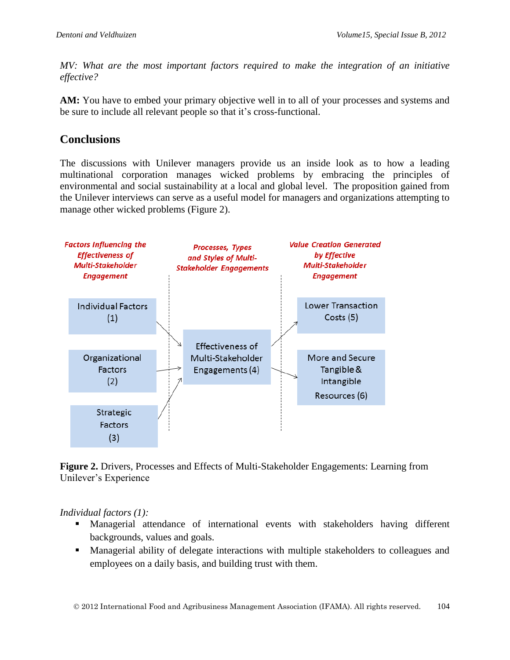*MV: What are the most important factors required to make the integration of an initiative effective?* 

**AM:** You have to embed your primary objective well in to all of your processes and systems and be sure to include all relevant people so that it's cross-functional.

# **Conclusions**

The discussions with Unilever managers provide us an inside look as to how a leading multinational corporation manages wicked problems by embracing the principles of environmental and social sustainability at a local and global level. The proposition gained from the Unilever interviews can serve as a useful model for managers and organizations attempting to manage other wicked problems (Figure 2).



**Figure 2.** Drivers, Processes and Effects of Multi-Stakeholder Engagements: Learning from Unilever's Experience

#### *Individual factors (1):*

- Managerial attendance of international events with stakeholders having different backgrounds, values and goals.
- **Managerial ability of delegate interactions with multiple stakeholders to colleagues and** employees on a daily basis, and building trust with them.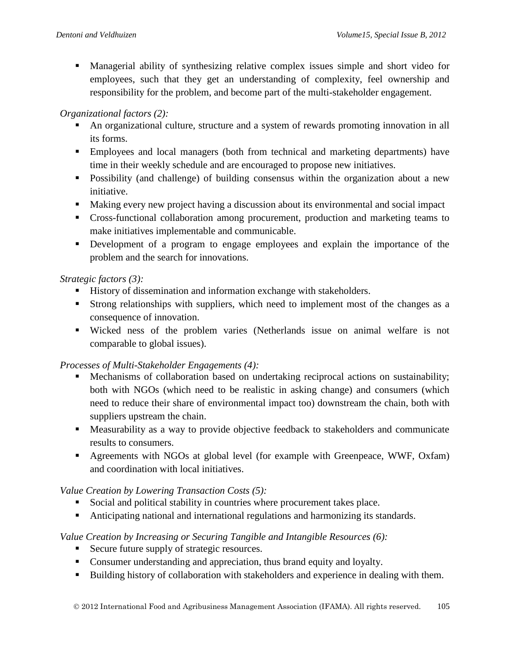Managerial ability of synthesizing relative complex issues simple and short video for employees, such that they get an understanding of complexity, feel ownership and responsibility for the problem, and become part of the multi-stakeholder engagement.

#### *Organizational factors (2):*

- An organizational culture, structure and a system of rewards promoting innovation in all its forms.
- Employees and local managers (both from technical and marketing departments) have time in their weekly schedule and are encouraged to propose new initiatives.
- **Possibility (and challenge) of building consensus within the organization about a new** initiative.
- Making every new project having a discussion about its environmental and social impact
- Cross-functional collaboration among procurement, production and marketing teams to make initiatives implementable and communicable.
- Development of a program to engage employees and explain the importance of the problem and the search for innovations.

## *Strategic factors (3):*

- History of dissemination and information exchange with stakeholders.
- Strong relationships with suppliers, which need to implement most of the changes as a consequence of innovation.
- Wicked ness of the problem varies (Netherlands issue on animal welfare is not comparable to global issues).

## *Processes of Multi-Stakeholder Engagements (4):*

- Mechanisms of collaboration based on undertaking reciprocal actions on sustainability; both with NGOs (which need to be realistic in asking change) and consumers (which need to reduce their share of environmental impact too) downstream the chain, both with suppliers upstream the chain.
- Measurability as a way to provide objective feedback to stakeholders and communicate results to consumers.
- Agreements with NGOs at global level (for example with Greenpeace, WWF, Oxfam) and coordination with local initiatives.

## *Value Creation by Lowering Transaction Costs (5):*

- Social and political stability in countries where procurement takes place.
- Anticipating national and international regulations and harmonizing its standards.

## *Value Creation by Increasing or Securing Tangible and Intangible Resources (6):*

- Secure future supply of strategic resources.
- Consumer understanding and appreciation, thus brand equity and loyalty.
- Building history of collaboration with stakeholders and experience in dealing with them.